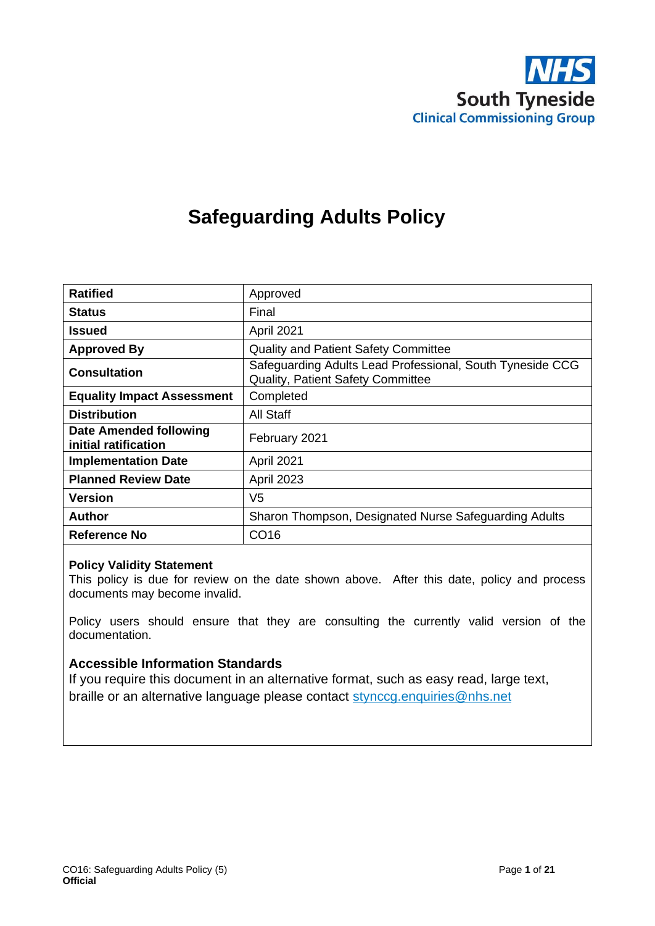

# **Safeguarding Adults Policy**

| <b>Ratified</b>                                       | Approved                                                                                              |
|-------------------------------------------------------|-------------------------------------------------------------------------------------------------------|
| <b>Status</b>                                         | Final                                                                                                 |
| <b>Issued</b>                                         | April 2021                                                                                            |
| <b>Approved By</b>                                    | <b>Quality and Patient Safety Committee</b>                                                           |
| <b>Consultation</b>                                   | Safeguarding Adults Lead Professional, South Tyneside CCG<br><b>Quality, Patient Safety Committee</b> |
| <b>Equality Impact Assessment</b>                     | Completed                                                                                             |
| <b>Distribution</b>                                   | All Staff                                                                                             |
| <b>Date Amended following</b><br>initial ratification | February 2021                                                                                         |
| <b>Implementation Date</b>                            | April 2021                                                                                            |
| <b>Planned Review Date</b>                            | April 2023                                                                                            |
| <b>Version</b>                                        | V <sub>5</sub>                                                                                        |
| <b>Author</b>                                         | Sharon Thompson, Designated Nurse Safeguarding Adults                                                 |
| Reference No                                          | CO <sub>16</sub>                                                                                      |

#### **Policy Validity Statement**

This policy is due for review on the date shown above. After this date, policy and process documents may become invalid.

Policy users should ensure that they are consulting the currently valid version of the documentation.

#### **Accessible Information Standards**

If you require this document in an alternative format, such as easy read, large text, braille or an alternative language please contact [stynccg.enquiries@nhs.net](mailto:stynccg.enquiries@nhs.net)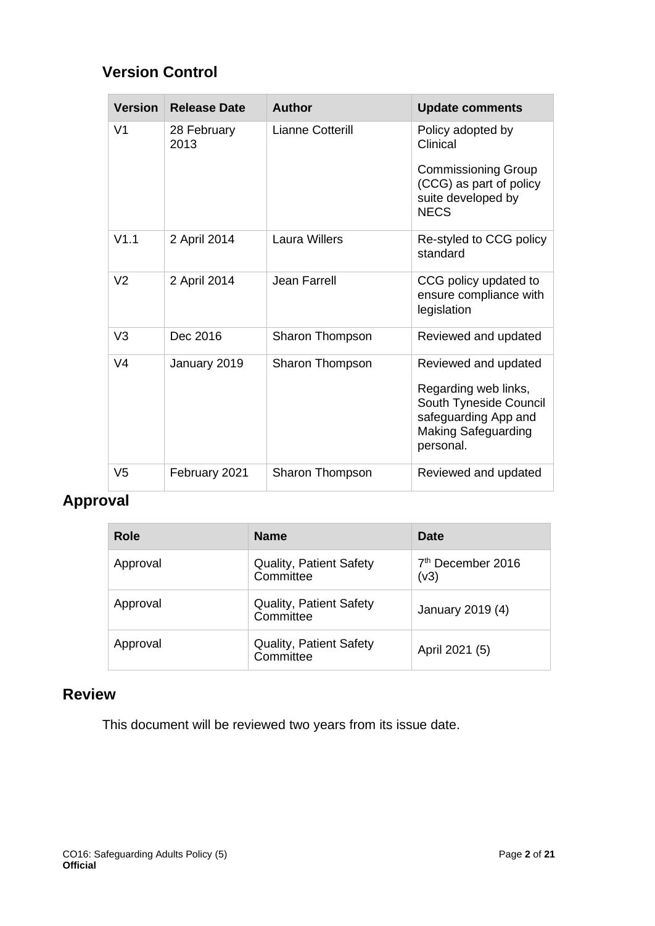# **Version Control**

| <b>Version</b> | <b>Release Date</b> | <b>Author</b>        | <b>Update comments</b>                                                                                                                    |
|----------------|---------------------|----------------------|-------------------------------------------------------------------------------------------------------------------------------------------|
| V <sub>1</sub> | 28 February<br>2013 | Lianne Cotterill     | Policy adopted by<br>Clinical                                                                                                             |
|                |                     |                      | <b>Commissioning Group</b><br>(CCG) as part of policy<br>suite developed by<br><b>NECS</b>                                                |
| V1.1           | 2 April 2014        | <b>Laura Willers</b> | Re-styled to CCG policy<br>standard                                                                                                       |
| V <sub>2</sub> | 2 April 2014        | <b>Jean Farrell</b>  | CCG policy updated to<br>ensure compliance with<br>legislation                                                                            |
| V <sub>3</sub> | Dec 2016            | Sharon Thompson      | Reviewed and updated                                                                                                                      |
| V <sub>4</sub> | January 2019        | Sharon Thompson      | Reviewed and updated<br>Regarding web links,<br>South Tyneside Council<br>safeguarding App and<br><b>Making Safeguarding</b><br>personal. |
| V5             | February 2021       | Sharon Thompson      | Reviewed and updated                                                                                                                      |

# **Approval**

| Role     | <b>Name</b>                                 | Date                                  |
|----------|---------------------------------------------|---------------------------------------|
| Approval | <b>Quality, Patient Safety</b><br>Committee | 7 <sup>th</sup> December 2016<br>(v3) |
| Approval | <b>Quality, Patient Safety</b><br>Committee | January 2019 (4)                      |
| Approval | <b>Quality, Patient Safety</b><br>Committee | April 2021 (5)                        |

# **Review**

This document will be reviewed two years from its issue date.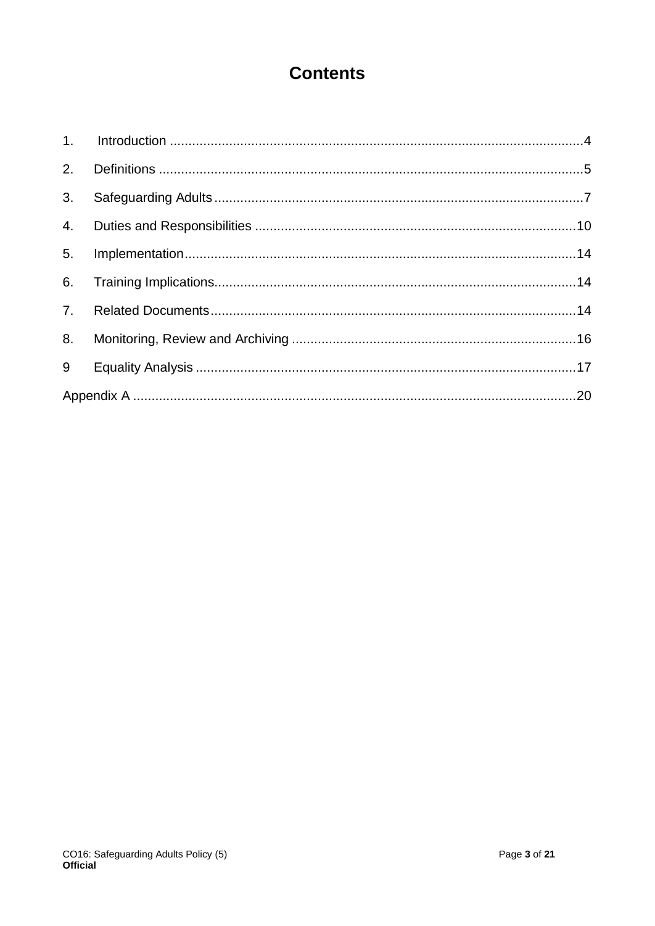# **Contents**

| 3. |  |
|----|--|
|    |  |
| 5. |  |
| 6. |  |
| 7. |  |
| 8. |  |
| 9  |  |
|    |  |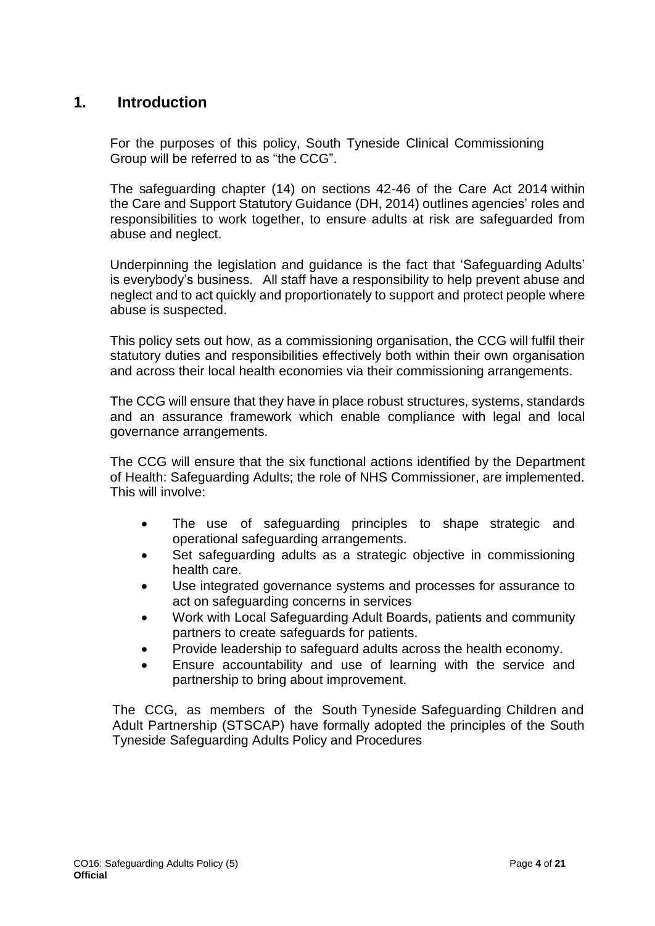# <span id="page-3-0"></span>**1. Introduction**

For the purposes of this policy, South Tyneside Clinical Commissioning Group will be referred to as "the CCG".

The safeguarding chapter (14) on sections 42-46 of the Care Act 2014 within the Care and Support Statutory Guidance (DH, 2014) outlines agencies' roles and responsibilities to work together, to ensure adults at risk are safeguarded from abuse and neglect.

Underpinning the legislation and guidance is the fact that 'Safeguarding Adults' is everybody's business. All staff have a responsibility to help prevent abuse and neglect and to act quickly and proportionately to support and protect people where abuse is suspected.

This policy sets out how, as a commissioning organisation, the CCG will fulfil their statutory duties and responsibilities effectively both within their own organisation and across their local health economies via their commissioning arrangements.

The CCG will ensure that they have in place robust structures, systems, standards and an assurance framework which enable compliance with legal and local governance arrangements.

The CCG will ensure that the six functional actions identified by the Department of Health: Safeguarding Adults; the role of NHS Commissioner, are implemented. This will involve:

- The use of safeguarding principles to shape strategic and operational safeguarding arrangements.
- Set safeguarding adults as a strategic objective in commissioning health care.
- Use integrated governance systems and processes for assurance to act on safeguarding concerns in services
- Work with Local Safeguarding Adult Boards, patients and community partners to create safeguards for patients.
- Provide leadership to safeguard adults across the health economy.
- Ensure accountability and use of learning with the service and partnership to bring about improvement.

The CCG, as members of the South Tyneside Safeguarding Children and Adult Partnership (STSCAP) have formally adopted the principles of the South Tyneside Safeguarding Adults Policy and Procedures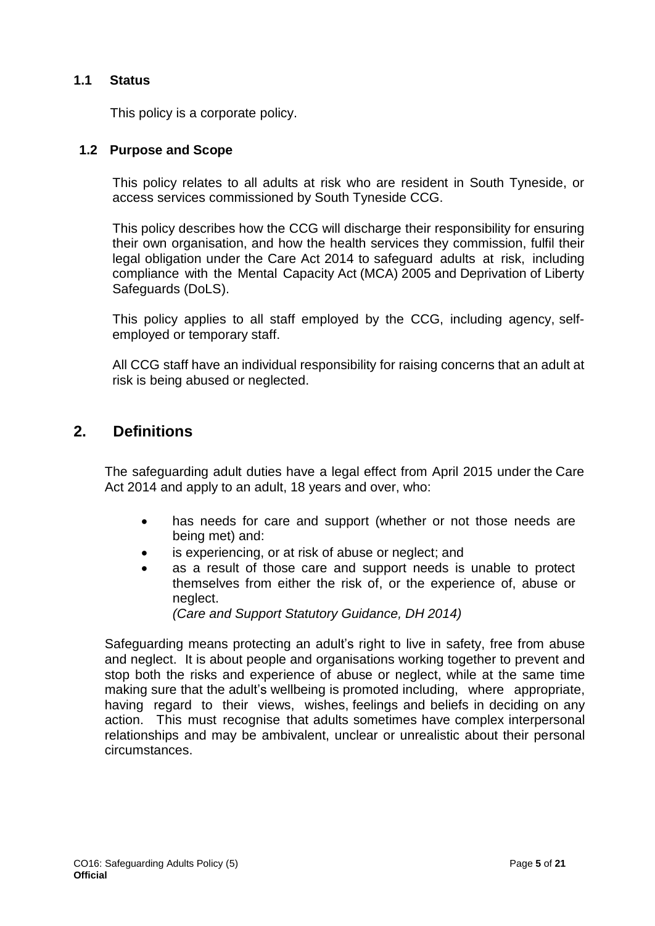## **1.1 Status**

This policy is a corporate policy.

## **1.2 Purpose and Scope**

This policy relates to all adults at risk who are resident in South Tyneside, or access services commissioned by South Tyneside CCG.

This policy describes how the CCG will discharge their responsibility for ensuring their own organisation, and how the health services they commission, fulfil their legal obligation under the Care Act 2014 to safeguard adults at risk, including compliance with the Mental Capacity Act (MCA) 2005 and Deprivation of Liberty Safeguards (DoLS).

This policy applies to all staff employed by the CCG, including agency, selfemployed or temporary staff.

All CCG staff have an individual responsibility for raising concerns that an adult at risk is being abused or neglected.

# <span id="page-4-0"></span>**2. Definitions**

The safeguarding adult duties have a legal effect from April 2015 under the Care Act 2014 and apply to an adult, 18 years and over, who:

- has needs for care and support (whether or not those needs are being met) and:
- is experiencing, or at risk of abuse or neglect; and
- as a result of those care and support needs is unable to protect themselves from either the risk of, or the experience of, abuse or neglect.

*(Care and Support Statutory Guidance, DH 2014)*

Safeguarding means protecting an adult's right to live in safety, free from abuse and neglect. It is about people and organisations working together to prevent and stop both the risks and experience of abuse or neglect, while at the same time making sure that the adult's wellbeing is promoted including, where appropriate, having regard to their views, wishes, feelings and beliefs in deciding on any action. This must recognise that adults sometimes have complex interpersonal relationships and may be ambivalent, unclear or unrealistic about their personal circumstances.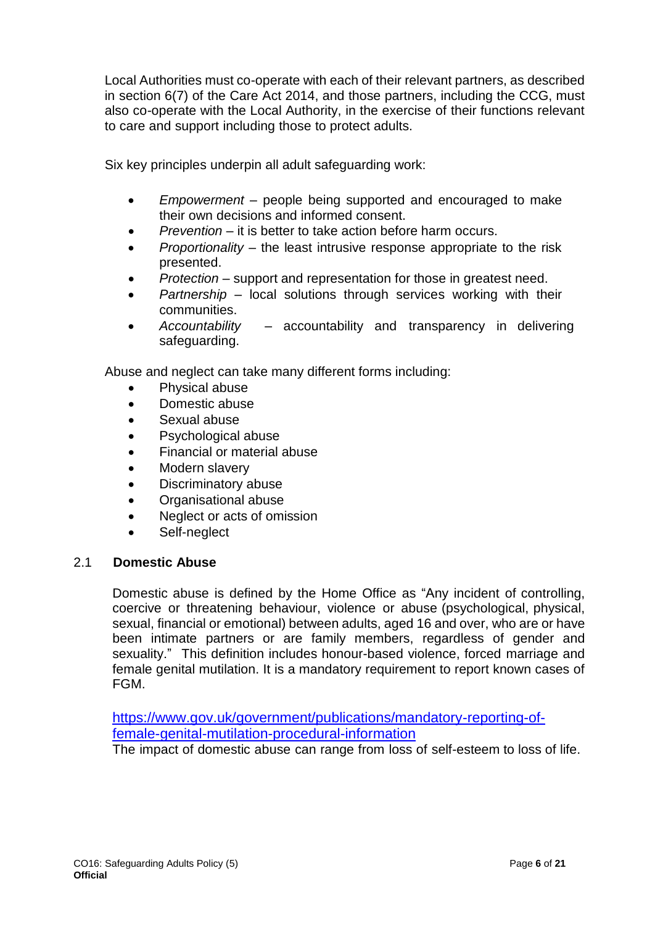Local Authorities must co-operate with each of their relevant partners, as described in section 6(7) of the Care Act 2014, and those partners, including the CCG, must also co-operate with the Local Authority, in the exercise of their functions relevant to care and support including those to protect adults.

Six key principles underpin all adult safeguarding work:

- *Empowerment* people being supported and encouraged to make their own decisions and informed consent.
- *Prevention* it is better to take action before harm occurs.
- *Proportionality* the least intrusive response appropriate to the risk presented.
- *Protection* support and representation for those in greatest need.
- *Partnership*  local solutions through services working with their communities.
- *Accountability* accountability and transparency in delivering safeguarding.

Abuse and neglect can take many different forms including:

- Physical abuse
- Domestic abuse
- Sexual abuse
- Psychological abuse
- Financial or material abuse
- Modern slavery
- Discriminatory abuse
- Organisational abuse
- Neglect or acts of omission
- Self-neglect

## 2.1 **Domestic Abuse**

Domestic abuse is defined by the Home Office as "Any incident of controlling, coercive or threatening behaviour, violence or abuse (psychological, physical, sexual, financial or emotional) between adults, aged 16 and over, who are or have been intimate partners or are family members, regardless of gender and sexuality." This definition includes honour-based violence, forced marriage and female genital mutilation. It is a mandatory requirement to report known cases of FGM.

[https://www.gov.uk/government/publications/mandatory-reporting-of](https://www.gov.uk/government/publications/mandatory-reporting-of-female-genital-mutilation-procedural-information)[female-genital-mutilation-procedural-information](https://www.gov.uk/government/publications/mandatory-reporting-of-female-genital-mutilation-procedural-information)

The impact of domestic abuse can range from loss of self-esteem to loss of life.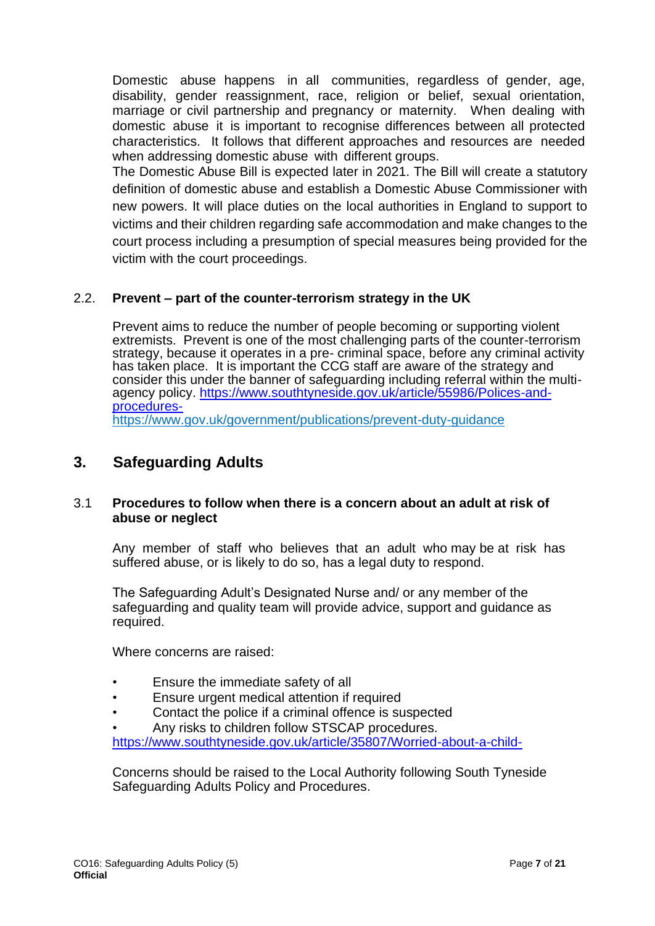Domestic abuse happens in all communities, regardless of gender, age, disability, gender reassignment, race, religion or belief, sexual orientation, marriage or civil partnership and pregnancy or maternity. When dealing with domestic abuse it is important to recognise differences between all protected characteristics. It follows that different approaches and resources are needed when addressing domestic abuse with different groups.

The Domestic Abuse Bill is expected later in 2021. The Bill will create a statutory definition of domestic abuse and establish a Domestic Abuse Commissioner with new powers. It will place duties on the local authorities in England to support to victims and their children regarding safe accommodation and make changes to the court process including a presumption of special measures being provided for the victim with the court proceedings.

# 2.2. **Prevent – part of the counter-terrorism strategy in the UK**

Prevent aims to reduce the number of people becoming or supporting violent extremists. Prevent is one of the most challenging parts of the counter-terrorism strategy, because it operates in a pre- criminal space, before any criminal activity has taken place. It is important the CCG staff are aware of the strategy and consider this under the banner of safeguarding including referral within the multiagency policy. [https://www.southtyneside.gov.uk/article/55986/Polices-and](https://www.southtyneside.gov.uk/article/55986/Polices-and-procedures-)[procedures](https://www.southtyneside.gov.uk/article/55986/Polices-and-procedures-)<https://www.gov.uk/government/publications/prevent-duty-guidance>

# <span id="page-6-0"></span>**3. Safeguarding Adults**

## 3.1 **Procedures to follow when there is a concern about an adult at risk of abuse or neglect**

Any member of staff who believes that an adult who may be at risk has suffered abuse, or is likely to do so, has a legal duty to respond.

The Safeguarding Adult's Designated Nurse and/ or any member of the safeguarding and quality team will provide advice, support and guidance as required.

Where concerns are raised:

- Ensure the immediate safety of all
- Ensure urgent medical attention if required
- Contact the police if a criminal offence is suspected
- Any risks to children follow STSCAP procedures. https://www.southtyneside.gov.uk/article/35807/Worried-about-a-child-

Concerns should be raised to the Local Authority following South Tyneside Safeguarding Adults Policy and Procedures.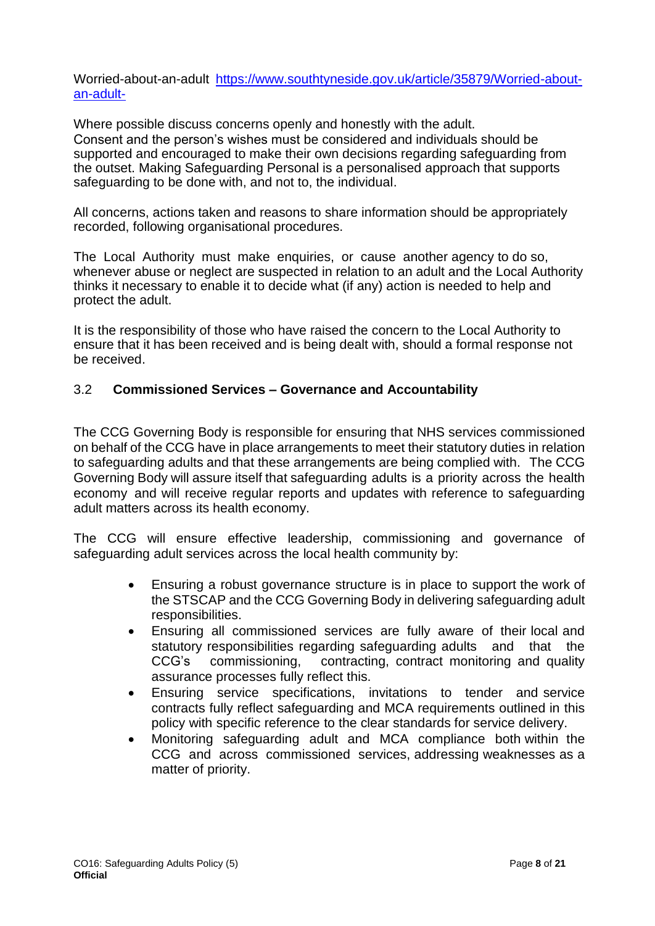Worried-about-an-adult [https://www.southtyneside.gov.uk/article/35879/Worried-about](https://www.southtyneside.gov.uk/article/35879/Worried-about-an-adult-)[an-adult-](https://www.southtyneside.gov.uk/article/35879/Worried-about-an-adult-)

Where possible discuss concerns openly and honestly with the adult. Consent and the person's wishes must be considered and individuals should be supported and encouraged to make their own decisions regarding safeguarding from the outset. Making Safeguarding Personal is a personalised approach that supports safeguarding to be done with, and not to, the individual.

All concerns, actions taken and reasons to share information should be appropriately recorded, following organisational procedures.

The Local Authority must make enquiries, or cause another agency to do so, whenever abuse or neglect are suspected in relation to an adult and the Local Authority thinks it necessary to enable it to decide what (if any) action is needed to help and protect the adult.

It is the responsibility of those who have raised the concern to the Local Authority to ensure that it has been received and is being dealt with, should a formal response not be received.

## 3.2 **Commissioned Services – Governance and Accountability**

The CCG Governing Body is responsible for ensuring that NHS services commissioned on behalf of the CCG have in place arrangements to meet their statutory duties in relation to safeguarding adults and that these arrangements are being complied with. The CCG Governing Body will assure itself that safeguarding adults is a priority across the health economy and will receive regular reports and updates with reference to safeguarding adult matters across its health economy.

The CCG will ensure effective leadership, commissioning and governance of safeguarding adult services across the local health community by:

- Ensuring a robust governance structure is in place to support the work of the STSCAP and the CCG Governing Body in delivering safeguarding adult responsibilities.
- Ensuring all commissioned services are fully aware of their local and statutory responsibilities regarding safeguarding adults and that the CCG's commissioning, contracting, contract monitoring and quality assurance processes fully reflect this.
- Ensuring service specifications, invitations to tender and service contracts fully reflect safeguarding and MCA requirements outlined in this policy with specific reference to the clear standards for service delivery.
- Monitoring safeguarding adult and MCA compliance both within the CCG and across commissioned services, addressing weaknesses as a matter of priority.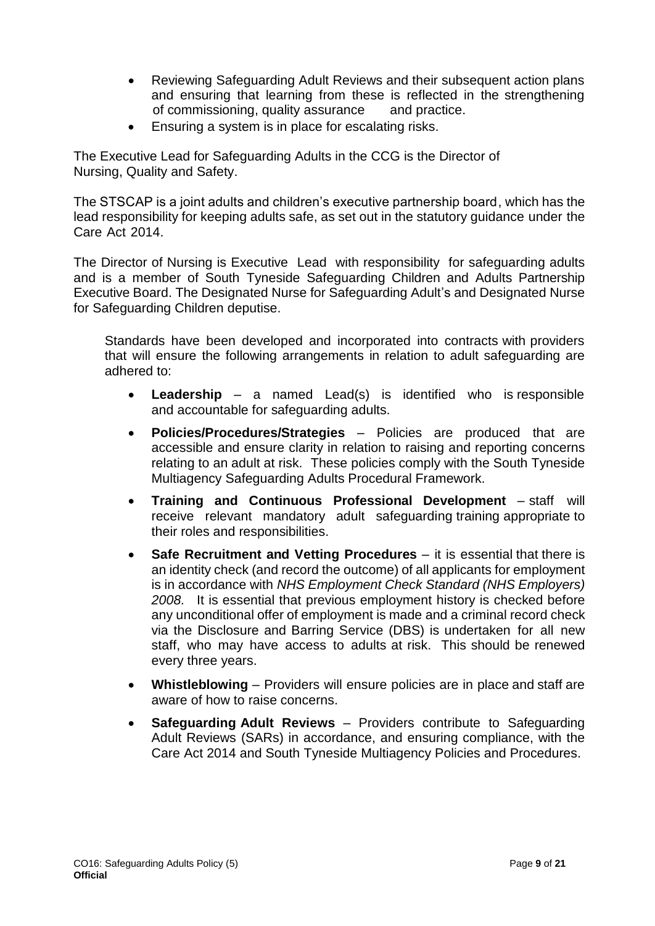- Reviewing Safeguarding Adult Reviews and their subsequent action plans and ensuring that learning from these is reflected in the strengthening of commissioning, quality assurance and practice.
- Ensuring a system is in place for escalating risks.

The Executive Lead for Safeguarding Adults in the CCG is the Director of Nursing, Quality and Safety.

The STSCAP is a joint adults and children's executive partnership board, which has the lead responsibility for keeping adults safe, as set out in the statutory guidance under the Care Act 2014.

The Director of Nursing is Executive Lead with responsibility for safeguarding adults and is a member of South Tyneside Safeguarding Children and Adults Partnership Executive Board. The Designated Nurse for Safeguarding Adult's and Designated Nurse for Safeguarding Children deputise.

Standards have been developed and incorporated into contracts with providers that will ensure the following arrangements in relation to adult safeguarding are adhered to:

- **Leadership**  a named Lead(s) is identified who is responsible and accountable for safeguarding adults.
- **Policies/Procedures/Strategies** Policies are produced that are accessible and ensure clarity in relation to raising and reporting concerns relating to an adult at risk. These policies comply with the South Tyneside Multiagency Safeguarding Adults Procedural Framework.
- **Training and Continuous Professional Development**  staff will receive relevant mandatory adult safeguarding training appropriate to their roles and responsibilities.
- **Safe Recruitment and Vetting Procedures** it is essential that there is an identity check (and record the outcome) of all applicants for employment is in accordance with *NHS Employment Check Standard (NHS Employers) 2008.* It is essential that previous employment history is checked before any unconditional offer of employment is made and a criminal record check via the Disclosure and Barring Service (DBS) is undertaken for all new staff, who may have access to adults at risk. This should be renewed every three years.
- **Whistleblowing** Providers will ensure policies are in place and staff are aware of how to raise concerns.
- **Safeguarding Adult Reviews**  Providers contribute to Safeguarding Adult Reviews (SARs) in accordance, and ensuring compliance, with the Care Act 2014 and South Tyneside Multiagency Policies and Procedures.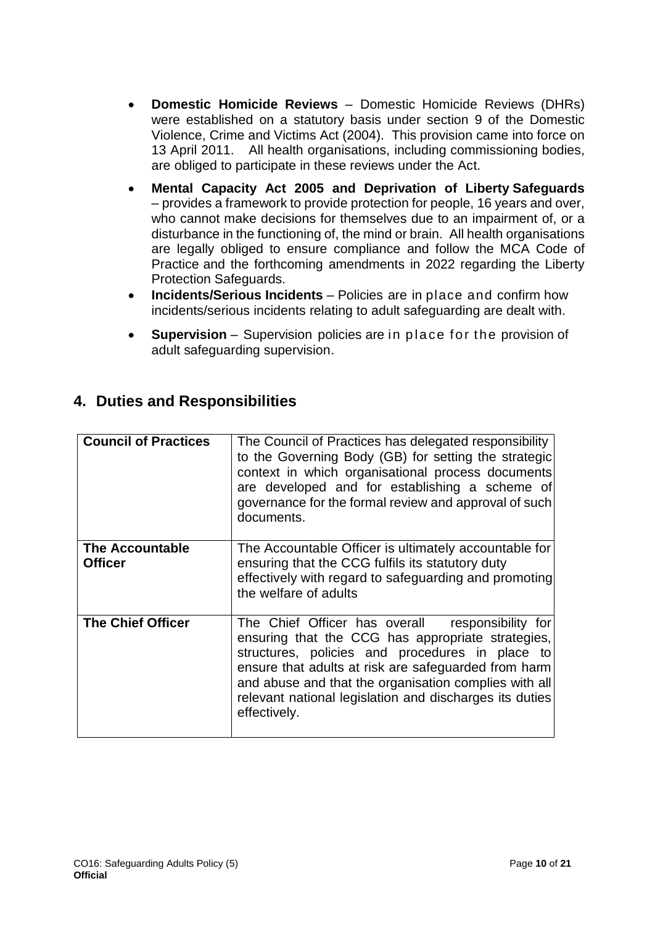- **Domestic Homicide Reviews** Domestic Homicide Reviews (DHRs) were established on a statutory basis under section 9 of the Domestic Violence, Crime and Victims Act (2004). This provision came into force on 13 April 2011. All health organisations, including commissioning bodies, are obliged to participate in these reviews under the Act.
- **Mental Capacity Act 2005 and Deprivation of Liberty Safeguards** – provides a framework to provide protection for people, 16 years and over, who cannot make decisions for themselves due to an impairment of, or a disturbance in the functioning of, the mind or brain. All health organisations are legally obliged to ensure compliance and follow the MCA Code of Practice and the forthcoming amendments in 2022 regarding the Liberty Protection Safeguards.
- **Incidents/Serious Incidents**  Policies are in place and confirm how incidents/serious incidents relating to adult safeguarding are dealt with.
- **Supervision** Supervision policies are in place for the provision of adult safeguarding supervision.

# <span id="page-9-0"></span>**4. Duties and Responsibilities**

| <b>Council of Practices</b>              | The Council of Practices has delegated responsibility<br>to the Governing Body (GB) for setting the strategic<br>context in which organisational process documents<br>are developed and for establishing a scheme of<br>governance for the formal review and approval of such<br>documents.                                                             |
|------------------------------------------|---------------------------------------------------------------------------------------------------------------------------------------------------------------------------------------------------------------------------------------------------------------------------------------------------------------------------------------------------------|
| <b>The Accountable</b><br><b>Officer</b> | The Accountable Officer is ultimately accountable for<br>ensuring that the CCG fulfils its statutory duty<br>effectively with regard to safeguarding and promoting<br>the welfare of adults                                                                                                                                                             |
| <b>The Chief Officer</b>                 | The Chief Officer has overall<br>responsibility for<br>ensuring that the CCG has appropriate strategies,<br>structures, policies and procedures in place to<br>ensure that adults at risk are safeguarded from harm<br>and abuse and that the organisation complies with all<br>relevant national legislation and discharges its duties<br>effectively. |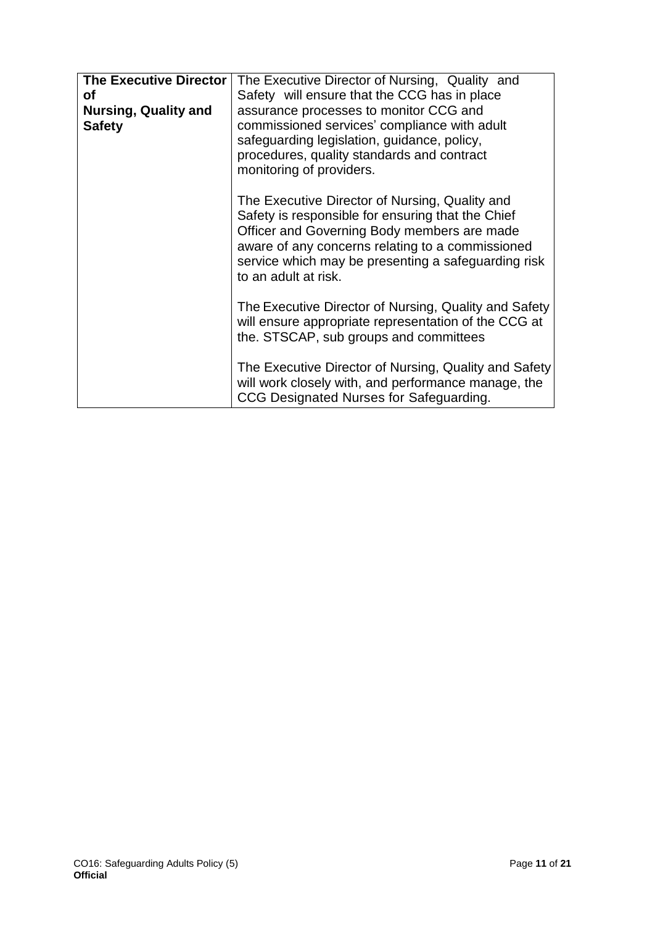| <b>The Executive Director</b><br>Οf          | The Executive Director of Nursing, Quality and<br>Safety will ensure that the CCG has in place                                                                                                                                                                                        |
|----------------------------------------------|---------------------------------------------------------------------------------------------------------------------------------------------------------------------------------------------------------------------------------------------------------------------------------------|
| <b>Nursing, Quality and</b><br><b>Safety</b> | assurance processes to monitor CCG and<br>commissioned services' compliance with adult<br>safeguarding legislation, guidance, policy,<br>procedures, quality standards and contract<br>monitoring of providers.                                                                       |
|                                              | The Executive Director of Nursing, Quality and<br>Safety is responsible for ensuring that the Chief<br>Officer and Governing Body members are made<br>aware of any concerns relating to a commissioned<br>service which may be presenting a safeguarding risk<br>to an adult at risk. |
|                                              | The Executive Director of Nursing, Quality and Safety<br>will ensure appropriate representation of the CCG at<br>the. STSCAP, sub groups and committees                                                                                                                               |
|                                              | The Executive Director of Nursing, Quality and Safety<br>will work closely with, and performance manage, the<br>CCG Designated Nurses for Safeguarding.                                                                                                                               |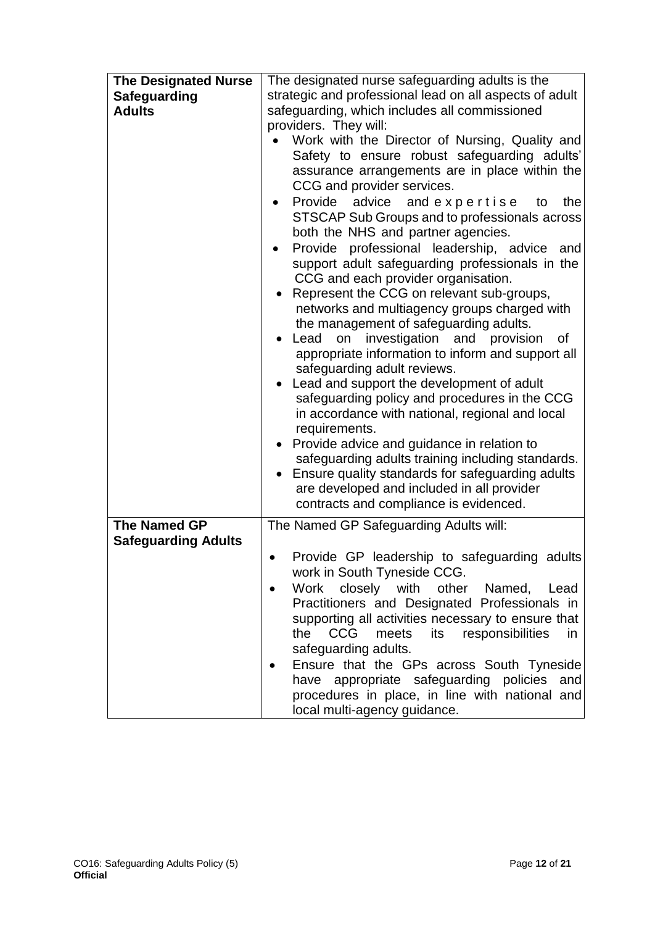| <b>The Designated Nurse</b> | The designated nurse safeguarding adults is the              |  |  |
|-----------------------------|--------------------------------------------------------------|--|--|
| <b>Safeguarding</b>         | strategic and professional lead on all aspects of adult      |  |  |
| <b>Adults</b>               | safeguarding, which includes all commissioned                |  |  |
|                             | providers. They will:                                        |  |  |
|                             | Work with the Director of Nursing, Quality and               |  |  |
|                             | Safety to ensure robust safeguarding adults'                 |  |  |
|                             | assurance arrangements are in place within the               |  |  |
|                             | CCG and provider services.                                   |  |  |
|                             | Provide advice<br>and expertise<br>the<br>to                 |  |  |
|                             | STSCAP Sub Groups and to professionals across                |  |  |
|                             | both the NHS and partner agencies.                           |  |  |
|                             | Provide professional leadership, advice<br>and               |  |  |
|                             | support adult safeguarding professionals in the              |  |  |
|                             | CCG and each provider organisation.                          |  |  |
|                             | Represent the CCG on relevant sub-groups,                    |  |  |
|                             | networks and multiagency groups charged with                 |  |  |
|                             | the management of safeguarding adults.                       |  |  |
|                             | Lead on investigation and provision<br>of                    |  |  |
|                             | appropriate information to inform and support all            |  |  |
|                             | safeguarding adult reviews.                                  |  |  |
|                             | Lead and support the development of adult                    |  |  |
|                             | safeguarding policy and procedures in the CCG                |  |  |
|                             | in accordance with national, regional and local              |  |  |
|                             | requirements.                                                |  |  |
|                             | Provide advice and guidance in relation to                   |  |  |
|                             | safeguarding adults training including standards.            |  |  |
|                             | Ensure quality standards for safeguarding adults             |  |  |
|                             | are developed and included in all provider                   |  |  |
|                             | contracts and compliance is evidenced.                       |  |  |
| <b>The Named GP</b>         | The Named GP Safeguarding Adults will:                       |  |  |
| <b>Safeguarding Adults</b>  |                                                              |  |  |
|                             | Provide GP leadership to safeguarding adults                 |  |  |
|                             | work in South Tyneside CCG.                                  |  |  |
|                             | Work closely with<br>other Named,<br>Lead                    |  |  |
|                             | Practitioners and Designated Professionals in                |  |  |
|                             | supporting all activities necessary to ensure that           |  |  |
|                             | <b>CCG</b><br>responsibilities<br>the<br>its<br>meets<br>in. |  |  |
|                             | safeguarding adults.                                         |  |  |
|                             | Ensure that the GPs across South Tyneside                    |  |  |
|                             | have appropriate safeguarding policies<br>and                |  |  |
|                             | procedures in place, in line with national and               |  |  |
|                             | local multi-agency guidance.                                 |  |  |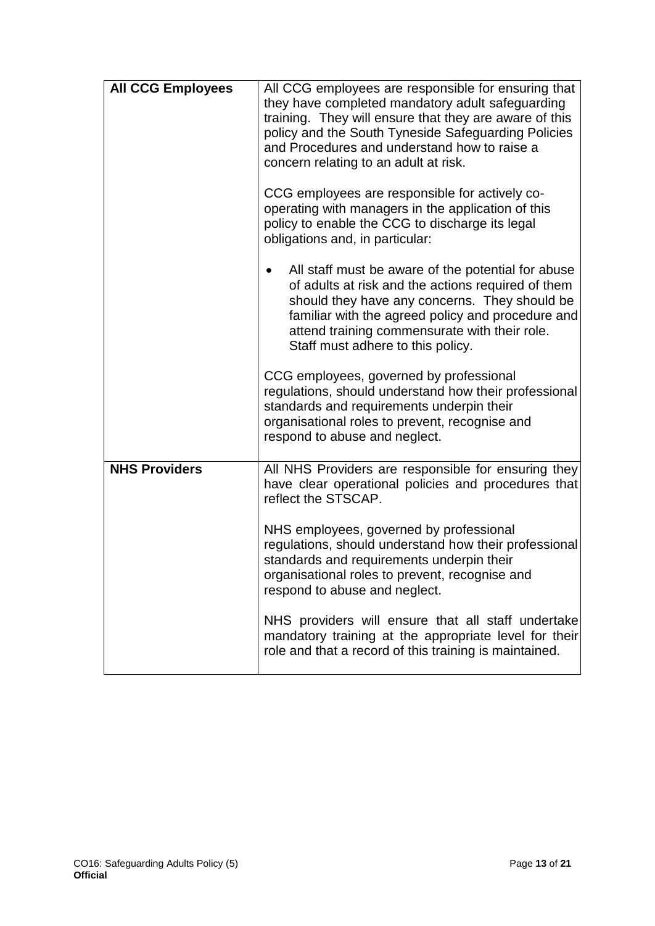| <b>All CCG Employees</b> | All CCG employees are responsible for ensuring that<br>they have completed mandatory adult safeguarding<br>training. They will ensure that they are aware of this<br>policy and the South Tyneside Safeguarding Policies<br>and Procedures and understand how to raise a<br>concern relating to an adult at risk.<br>CCG employees are responsible for actively co-<br>operating with managers in the application of this |
|--------------------------|---------------------------------------------------------------------------------------------------------------------------------------------------------------------------------------------------------------------------------------------------------------------------------------------------------------------------------------------------------------------------------------------------------------------------|
|                          | policy to enable the CCG to discharge its legal<br>obligations and, in particular:                                                                                                                                                                                                                                                                                                                                        |
|                          | All staff must be aware of the potential for abuse<br>of adults at risk and the actions required of them<br>should they have any concerns. They should be<br>familiar with the agreed policy and procedure and<br>attend training commensurate with their role.<br>Staff must adhere to this policy.                                                                                                                      |
|                          | CCG employees, governed by professional<br>regulations, should understand how their professional<br>standards and requirements underpin their<br>organisational roles to prevent, recognise and<br>respond to abuse and neglect.                                                                                                                                                                                          |
| <b>NHS Providers</b>     | All NHS Providers are responsible for ensuring they<br>have clear operational policies and procedures that<br>reflect the STSCAP.                                                                                                                                                                                                                                                                                         |
|                          | NHS employees, governed by professional<br>regulations, should understand how their professional<br>standards and requirements underpin their<br>organisational roles to prevent, recognise and<br>respond to abuse and neglect.                                                                                                                                                                                          |
|                          | NHS providers will ensure that all staff undertake<br>mandatory training at the appropriate level for their<br>role and that a record of this training is maintained.                                                                                                                                                                                                                                                     |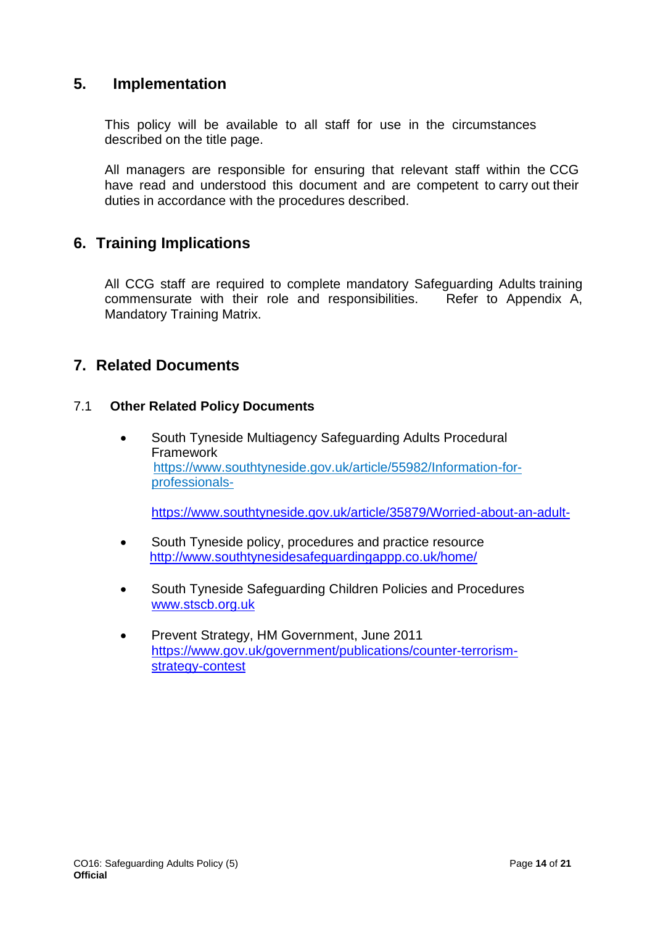# <span id="page-13-0"></span>**5. Implementation**

This policy will be available to all staff for use in the circumstances described on the title page.

All managers are responsible for ensuring that relevant staff within the CCG have read and understood this document and are competent to carry out their duties in accordance with the procedures described.

# <span id="page-13-1"></span>**6. Training Implications**

All CCG staff are required to complete mandatory Safeguarding Adults training commensurate with their role and responsibilities. Refer to Appendix A, Mandatory Training Matrix.

# <span id="page-13-2"></span>**7. Related Documents**

## 7.1 **Other Related Policy Documents**

• South Tyneside Multiagency Safeguarding Adults Procedural **Framework**  [https://www.southtyneside.gov.uk/article/55982/Information-for](https://www.southtyneside.gov.uk/article/55982/Information-for-professionals-)[professionals-](https://www.southtyneside.gov.uk/article/55982/Information-for-professionals-)

<https://www.southtyneside.gov.uk/article/35879/Worried-about-an-adult->

- South Tyneside policy, procedures and practice resource <http://www.southtynesidesafeguardingappp.co.uk/home/>
- South Tyneside Safeguarding Children Policies and Procedures [www.stscb.org.uk](http://www.stscb.org.uk/)
- Prevent Strategy, HM Government, June 2011 [https://www.gov.uk/government/publications/counter-terrorism](https://www.gov.uk/government/publications/counter-terrorism-strategy-contest)[strategy-contest](https://www.gov.uk/government/publications/counter-terrorism-strategy-contest)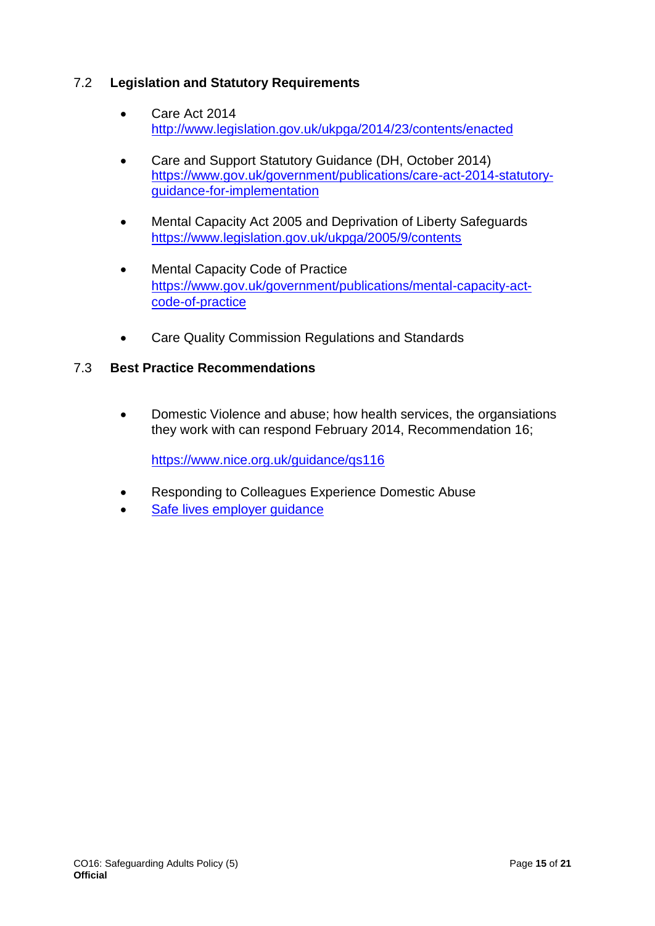# 7.2 **Legislation and Statutory Requirements**

- Care Act 2014 <http://www.legislation.gov.uk/ukpga/2014/23/contents/enacted>
- Care and Support Statutory Guidance (DH, October 2014) [https://www.gov.uk/government/publications/care-act-2014-statutory](https://www.gov.uk/government/publications/care-act-2014-statutory-guidance-for-implementation)[guidance-for-implementation](https://www.gov.uk/government/publications/care-act-2014-statutory-guidance-for-implementation)
- Mental Capacity Act 2005 and Deprivation of Liberty Safeguards <https://www.legislation.gov.uk/ukpga/2005/9/contents>
- Mental Capacity Code of Practice [https://www.gov.uk/government/publications/mental-capacity-act](https://www.gov.uk/government/publications/mental-capacity-act-code-of-practice)[code-of-practice](https://www.gov.uk/government/publications/mental-capacity-act-code-of-practice)
- Care Quality Commission Regulations and Standards

# 7.3 **Best Practice Recommendations**

• Domestic Violence and abuse; how health services, the organsiations they work with can respond February 2014, Recommendation 16;

<https://www.nice.org.uk/guidance/qs116>

- Responding to Colleagues Experience Domestic Abuse
- Safe lives employer quidance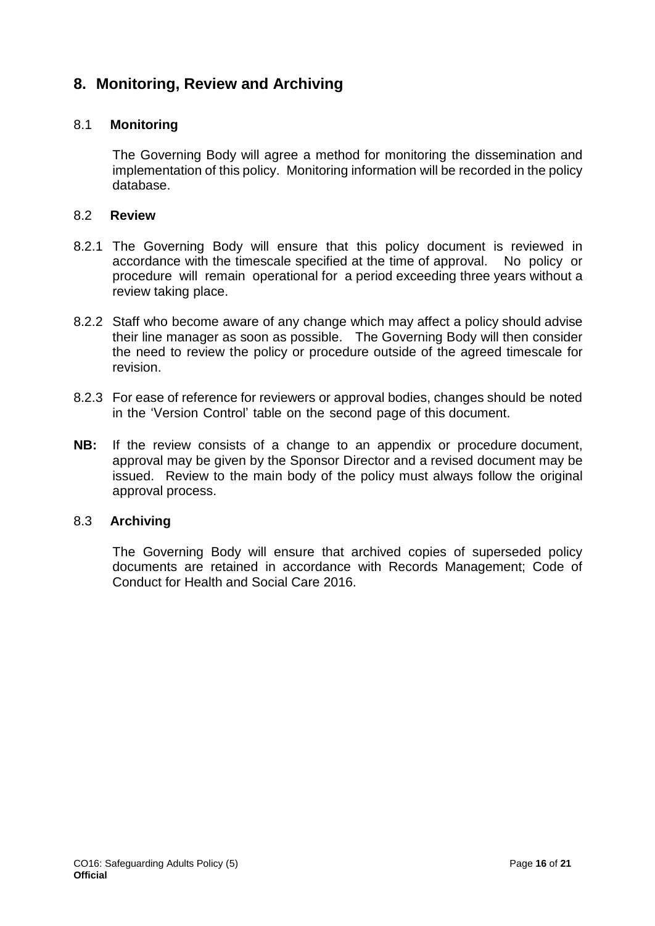# <span id="page-15-0"></span>**8. Monitoring, Review and Archiving**

#### 8.1 **Monitoring**

The Governing Body will agree a method for monitoring the dissemination and implementation of this policy. Monitoring information will be recorded in the policy database.

#### 8.2 **Review**

- 8.2.1 The Governing Body will ensure that this policy document is reviewed in accordance with the timescale specified at the time of approval. No policy or procedure will remain operational for a period exceeding three years without a review taking place.
- 8.2.2 Staff who become aware of any change which may affect a policy should advise their line manager as soon as possible. The Governing Body will then consider the need to review the policy or procedure outside of the agreed timescale for revision.
- 8.2.3 For ease of reference for reviewers or approval bodies, changes should be noted in the 'Version Control' table on the second page of this document.
- **NB:** If the review consists of a change to an appendix or procedure document, approval may be given by the Sponsor Director and a revised document may be issued. Review to the main body of the policy must always follow the original approval process.

#### 8.3 **Archiving**

The Governing Body will ensure that archived copies of superseded policy documents are retained in accordance with Records Management; Code of Conduct for Health and Social Care 2016.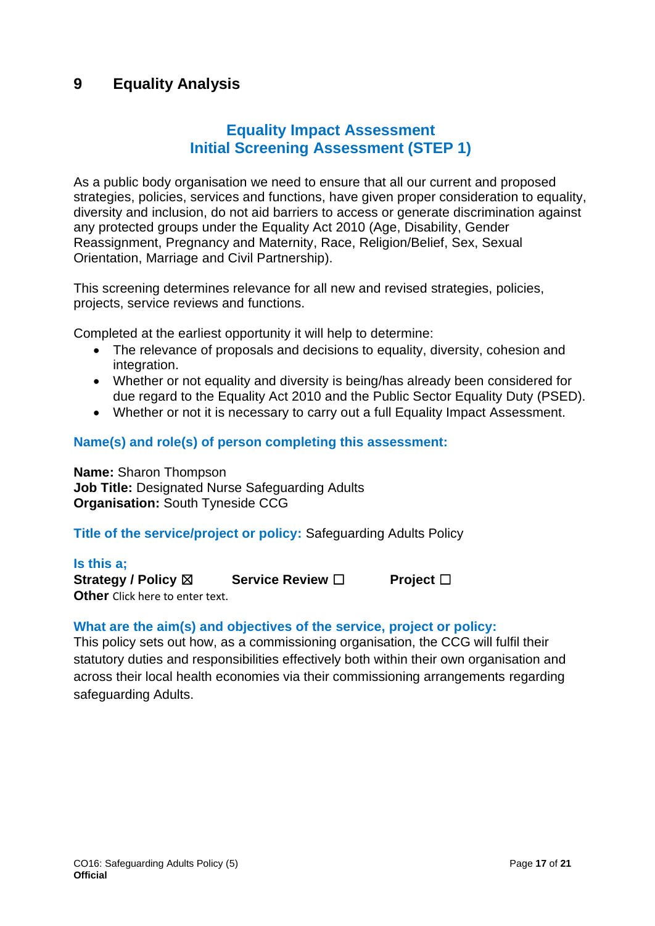# <span id="page-16-0"></span>**9 Equality Analysis**

# **Equality Impact Assessment Initial Screening Assessment (STEP 1)**

As a public body organisation we need to ensure that all our current and proposed strategies, policies, services and functions, have given proper consideration to equality, diversity and inclusion, do not aid barriers to access or generate discrimination against any protected groups under the Equality Act 2010 (Age, Disability, Gender Reassignment, Pregnancy and Maternity, Race, Religion/Belief, Sex, Sexual Orientation, Marriage and Civil Partnership).

This screening determines relevance for all new and revised strategies, policies, projects, service reviews and functions.

Completed at the earliest opportunity it will help to determine:

- The relevance of proposals and decisions to equality, diversity, cohesion and integration.
- Whether or not equality and diversity is being/has already been considered for due regard to the Equality Act 2010 and the Public Sector Equality Duty (PSED).
- Whether or not it is necessary to carry out a full Equality Impact Assessment.

#### **Name(s) and role(s) of person completing this assessment:**

**Name:** Sharon Thompson **Job Title:** Designated Nurse Safeguarding Adults **Organisation:** South Tyneside CCG

## **Title of the service/project or policy:** Safeguarding Adults Policy

**Is this a; Strategy / Policy** ☒ **Service Review** ☐ **Project** ☐ **Other** Click here to enter text.

#### **What are the aim(s) and objectives of the service, project or policy:**

This policy sets out how, as a commissioning organisation, the CCG will fulfil their statutory duties and responsibilities effectively both within their own organisation and across their local health economies via their commissioning arrangements regarding safeguarding Adults.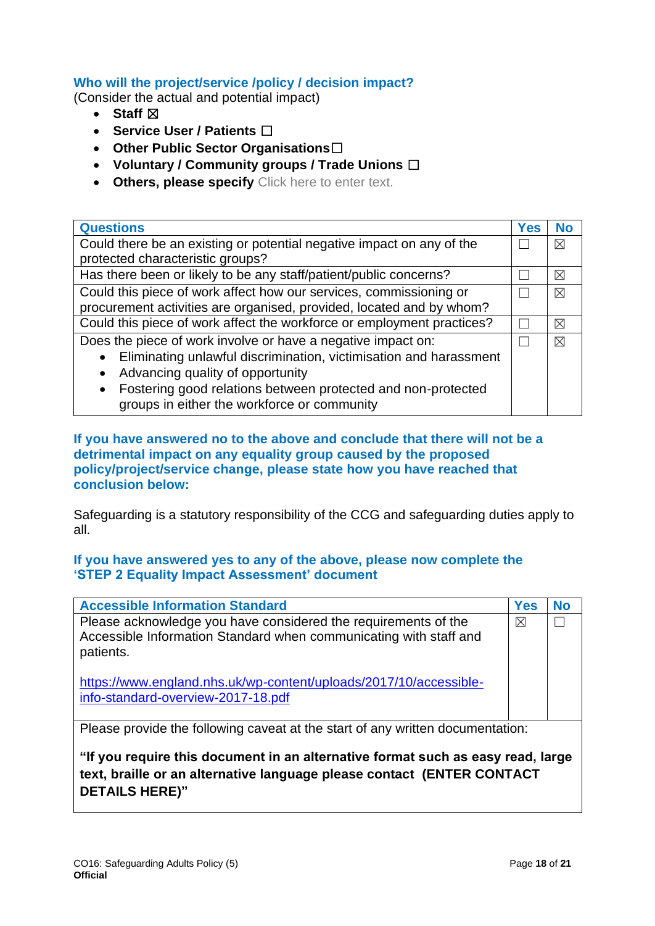# **Who will the project/service /policy / decision impact?**

(Consider the actual and potential impact)

- **Staff** ☒
- **Service User / Patients** ☐
- **Other Public Sector Organisations**☐
- **Voluntary / Community groups / Trade Unions** ☐
- **Others, please specify** Click here to enter text.

| <b>Questions</b>                                                          | <b>Yes</b> | <b>No</b> |
|---------------------------------------------------------------------------|------------|-----------|
| Could there be an existing or potential negative impact on any of the     |            |           |
| protected characteristic groups?                                          |            |           |
| Has there been or likely to be any staff/patient/public concerns?         |            | ⊠         |
| Could this piece of work affect how our services, commissioning or        |            | $\times$  |
| procurement activities are organised, provided, located and by whom?      |            |           |
| Could this piece of work affect the workforce or employment practices?    |            | ⊠         |
| Does the piece of work involve or have a negative impact on:              |            | $\times$  |
| Eliminating unlawful discrimination, victimisation and harassment         |            |           |
| Advancing quality of opportunity<br>$\bullet$                             |            |           |
| Fostering good relations between protected and non-protected<br>$\bullet$ |            |           |
| groups in either the workforce or community                               |            |           |

**If you have answered no to the above and conclude that there will not be a detrimental impact on any equality group caused by the proposed policy/project/service change, please state how you have reached that conclusion below:** 

Safeguarding is a statutory responsibility of the CCG and safeguarding duties apply to all.

## **If you have answered yes to any of the above, please now complete the 'STEP 2 Equality Impact Assessment' document**

| <b>Accessible Information Standard</b>                                                                                                           | <b>Yes</b> | <b>No</b> |
|--------------------------------------------------------------------------------------------------------------------------------------------------|------------|-----------|
| Please acknowledge you have considered the requirements of the<br>Accessible Information Standard when communicating with staff and<br>patients. | ⊠          |           |
| https://www.england.nhs.uk/wp-content/uploads/2017/10/accessible-<br>info-standard-overview-2017-18.pdf                                          |            |           |
| Please provide the following caveat at the start of any written documentation:                                                                   |            |           |
| "If you require this document in an alternative format such as easy read large                                                                   |            |           |

**ument in an alternative format such as easy read, large text, braille or an alternative language please contact (ENTER CONTACT DETAILS HERE)"**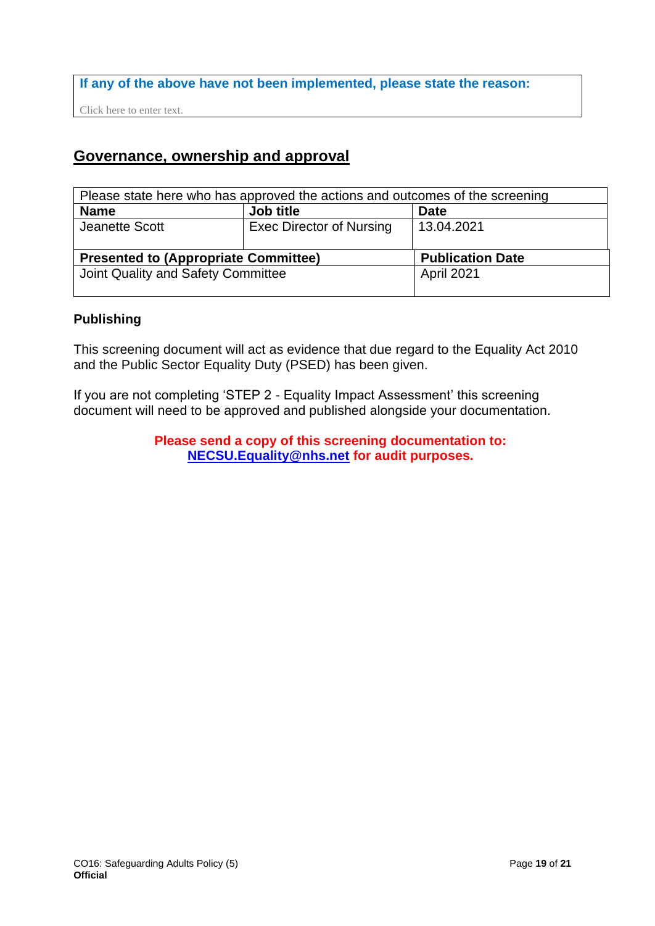## **If any of the above have not been implemented, please state the reason:**

Click here to enter text.

# **Governance, ownership and approval**

| Please state here who has approved the actions and outcomes of the screening |                                 |            |  |  |  |
|------------------------------------------------------------------------------|---------------------------------|------------|--|--|--|
| <b>Name</b>                                                                  | Job title<br><b>Date</b>        |            |  |  |  |
| Jeanette Scott                                                               | <b>Exec Director of Nursing</b> | 13.04.2021 |  |  |  |
|                                                                              |                                 |            |  |  |  |
| <b>Presented to (Appropriate Committee)</b><br><b>Publication Date</b>       |                                 |            |  |  |  |
| Joint Quality and Safety Committee                                           |                                 | April 2021 |  |  |  |
|                                                                              |                                 |            |  |  |  |

## **Publishing**

This screening document will act as evidence that due regard to the Equality Act 2010 and the Public Sector Equality Duty (PSED) has been given.

If you are not completing 'STEP 2 - Equality Impact Assessment' this screening document will need to be approved and published alongside your documentation.

> **Please send a copy of this screening documentation to: [NECSU.Equality@nhs.net](mailto:NECSU.Equality@nhs.net) for audit purposes.**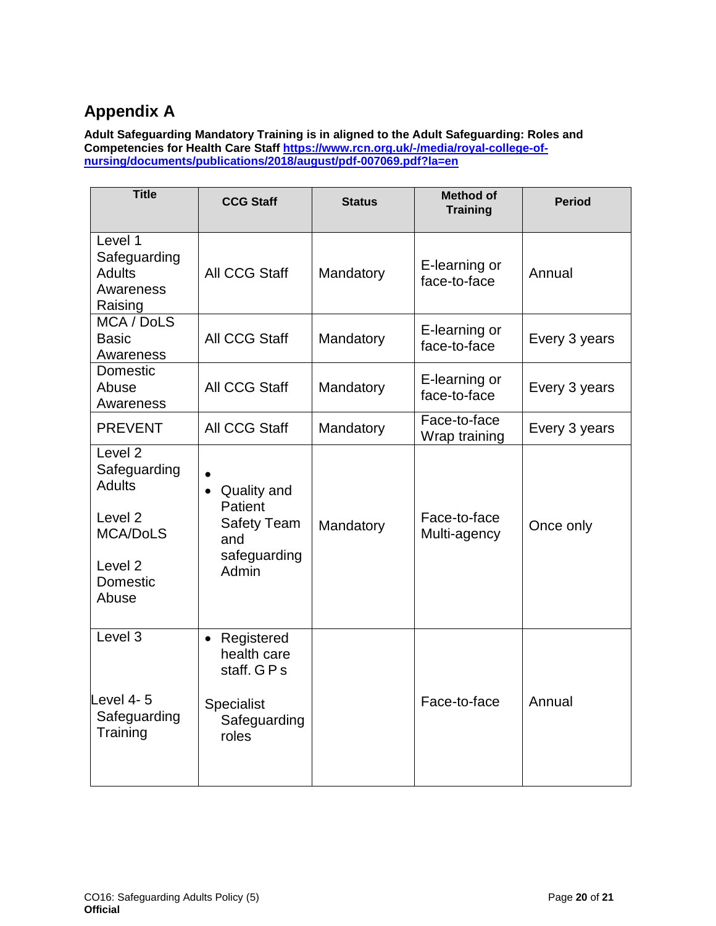# **Appendix A**

<span id="page-19-0"></span>**Adult Safeguarding Mandatory Training is in aligned to the Adult Safeguarding: Roles and Competencies for Health Care Staff [https://www.rcn.org.uk/-/media/royal-college-of](https://www.rcn.org.uk/-/media/royal-college-of-nursing/documents/publications/2018/august/pdf-007069.pdf?la=en)[nursing/documents/publications/2018/august/pdf-007069.pdf?la=en](https://www.rcn.org.uk/-/media/royal-college-of-nursing/documents/publications/2018/august/pdf-007069.pdf?la=en)**

| <b>Title</b>                                                                                                                            | <b>CCG Staff</b>                                                                            | <b>Status</b> | <b>Method of</b><br><b>Training</b> | <b>Period</b> |
|-----------------------------------------------------------------------------------------------------------------------------------------|---------------------------------------------------------------------------------------------|---------------|-------------------------------------|---------------|
| Level 1<br>Safeguarding<br><b>Adults</b><br>Awareness<br>Raising                                                                        | All CCG Staff                                                                               | Mandatory     | E-learning or<br>face-to-face       | Annual        |
| MCA / DoLS<br><b>Basic</b><br>Awareness                                                                                                 | <b>All CCG Staff</b>                                                                        | Mandatory     | E-learning or<br>face-to-face       | Every 3 years |
| <b>Domestic</b><br>Abuse<br>Awareness                                                                                                   | All CCG Staff                                                                               | Mandatory     | E-learning or<br>face-to-face       | Every 3 years |
| <b>PREVENT</b>                                                                                                                          | All CCG Staff                                                                               | Mandatory     | Face-to-face<br>Wrap training       | Every 3 years |
| Level <sub>2</sub><br>Safeguarding<br><b>Adults</b><br>Level <sub>2</sub><br>MCA/DoLS<br>Level <sub>2</sub><br><b>Domestic</b><br>Abuse | Quality and<br>$\bullet$<br>Patient<br><b>Safety Team</b><br>and<br>safeguarding<br>Admin   | Mandatory     | Face-to-face<br>Multi-agency        | Once only     |
| Level 3<br>Level 4-5<br>Safeguarding<br>Training                                                                                        | Registered<br>$\bullet$<br>health care<br>staff. GPs<br>Specialist<br>Safeguarding<br>roles |               | Face-to-face                        | Annual        |